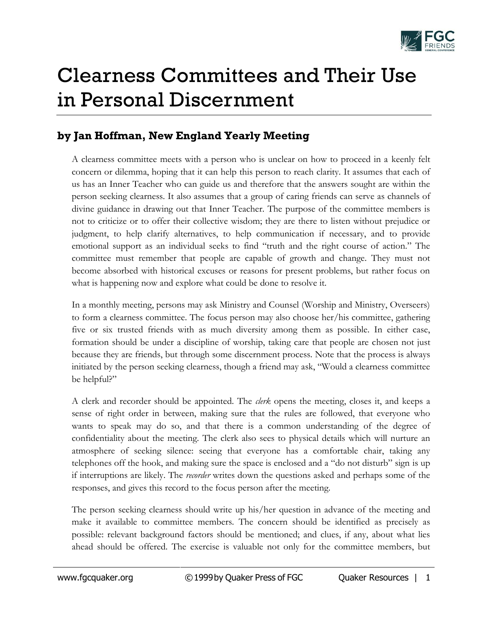

## Clearness Committees and Their Use in Personal Discernment

## **by Jan Hoffman, New England Yearly Meeting**

A clearness committee meets with a person who is unclear on how to proceed in a keenly felt concern or dilemma, hoping that it can help this person to reach clarity. It assumes that each of us has an Inner Teacher who can guide us and therefore that the answers sought are within the person seeking clearness. It also assumes that a group of caring friends can serve as channels of divine guidance in drawing out that Inner Teacher. The purpose of the committee members is not to criticize or to offer their collective wisdom; they are there to listen without prejudice or judgment, to help clarify alternatives, to help communication if necessary, and to provide emotional support as an individual seeks to find "truth and the right course of action." The committee must remember that people are capable of growth and change. They must not become absorbed with historical excuses or reasons for present problems, but rather focus on what is happening now and explore what could be done to resolve it.

In a monthly meeting, persons may ask Ministry and Counsel (Worship and Ministry, Overseers) to form a clearness committee. The focus person may also choose her/his committee, gathering five or six trusted friends with as much diversity among them as possible. In either case, formation should be under a discipline of worship, taking care that people are chosen not just because they are friends, but through some discernment process. Note that the process is always initiated by the person seeking clearness, though a friend may ask, "Would a clearness committee be helpful?"

A clerk and recorder should be appointed. The *clerk* opens the meeting, closes it, and keeps a sense of right order in between, making sure that the rules are followed, that everyone who wants to speak may do so, and that there is a common understanding of the degree of confidentiality about the meeting. The clerk also sees to physical details which will nurture an atmosphere of seeking silence: seeing that everyone has a comfortable chair, taking any telephones off the hook, and making sure the space is enclosed and a "do not disturb" sign is up if interruptions are likely. The *recorder* writes down the questions asked and perhaps some of the responses, and gives this record to the focus person after the meeting.

The person seeking clearness should write up his/her question in advance of the meeting and make it available to committee members. The concern should be identified as precisely as possible: relevant background factors should be mentioned; and clues, if any, about what lies ahead should be offered. The exercise is valuable not only for the committee members, but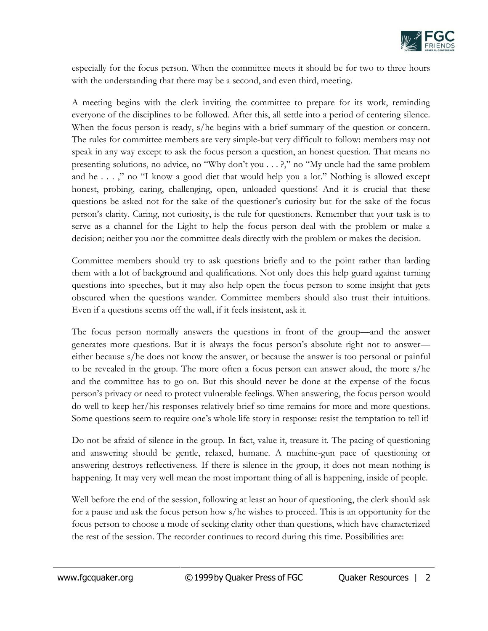

especially for the focus person. When the committee meets it should be for two to three hours with the understanding that there may be a second, and even third, meeting.

A meeting begins with the clerk inviting the committee to prepare for its work, reminding everyone of the disciplines to be followed. After this, all settle into a period of centering silence. When the focus person is ready, s/he begins with a brief summary of the question or concern. The rules for committee members are very simple-but very difficult to follow: members may not speak in any way except to ask the focus person a question, an honest question. That means no presenting solutions, no advice, no "Why don't you . . . ?," no "My uncle had the same problem and he . . . ," no "I know a good diet that would help you a lot." Nothing is allowed except honest, probing, caring, challenging, open, unloaded questions! And it is crucial that these questions be asked not for the sake of the questioner's curiosity but for the sake of the focus person's clarity. Caring, not curiosity, is the rule for questioners. Remember that your task is to serve as a channel for the Light to help the focus person deal with the problem or make a decision; neither you nor the committee deals directly with the problem or makes the decision.

Committee members should try to ask questions briefly and to the point rather than larding them with a lot of background and qualifications. Not only does this help guard against turning questions into speeches, but it may also help open the focus person to some insight that gets obscured when the questions wander. Committee members should also trust their intuitions. Even if a questions seems off the wall, if it feels insistent, ask it.

The focus person normally answers the questions in front of the group—and the answer generates more questions. But it is always the focus person's absolute right not to answer either because s/he does not know the answer, or because the answer is too personal or painful to be revealed in the group. The more often a focus person can answer aloud, the more s/he and the committee has to go on. But this should never be done at the expense of the focus person's privacy or need to protect vulnerable feelings. When answering, the focus person would do well to keep her/his responses relatively brief so time remains for more and more questions. Some questions seem to require one's whole life story in response: resist the temptation to tell it!

Do not be afraid of silence in the group. In fact, value it, treasure it. The pacing of questioning and answering should be gentle, relaxed, humane. A machine-gun pace of questioning or answering destroys reflectiveness. If there is silence in the group, it does not mean nothing is happening. It may very well mean the most important thing of all is happening, inside of people.

Well before the end of the session, following at least an hour of questioning, the clerk should ask for a pause and ask the focus person how s/he wishes to proceed. This is an opportunity for the focus person to choose a mode of seeking clarity other than questions, which have characterized the rest of the session. The recorder continues to record during this time. Possibilities are: